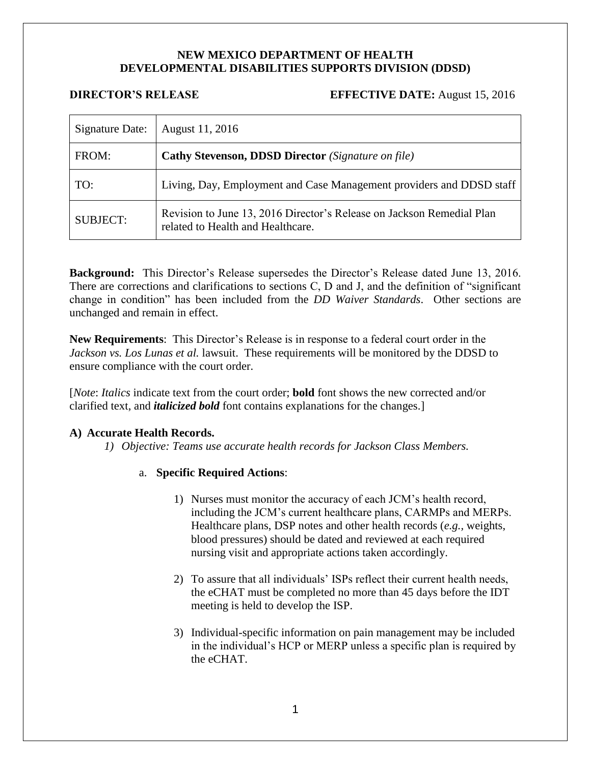# **NEW MEXICO DEPARTMENT OF HEALTH DEVELOPMENTAL DISABILITIES SUPPORTS DIVISION (DDSD)**

## **DIRECTOR'S RELEASE EFFECTIVE DATE:** August 15, 2016

| Signature Date: | August 11, 2016                                                                                            |
|-----------------|------------------------------------------------------------------------------------------------------------|
| FROM:           | <b>Cathy Stevenson, DDSD Director</b> (Signature on file)                                                  |
| TO:             | Living, Day, Employment and Case Management providers and DDSD staff                                       |
| <b>SUBJECT:</b> | Revision to June 13, 2016 Director's Release on Jackson Remedial Plan<br>related to Health and Healthcare. |

**Background:** This Director's Release supersedes the Director's Release dated June 13, 2016. There are corrections and clarifications to sections C, D and J, and the definition of "significant change in condition" has been included from the *DD Waiver Standards*. Other sections are unchanged and remain in effect.

**New Requirements**: This Director's Release is in response to a federal court order in the *Jackson vs. Los Lunas et al.* lawsuit. These requirements will be monitored by the DDSD to ensure compliance with the court order.

[*Note*: *Italics* indicate text from the court order; **bold** font shows the new corrected and/or clarified text, and *italicized bold* font contains explanations for the changes.]

## **A) Accurate Health Records.**

*1) Objective: Teams use accurate health records for Jackson Class Members.*

- 1) Nurses must monitor the accuracy of each JCM's health record, including the JCM's current healthcare plans, CARMPs and MERPs. Healthcare plans, DSP notes and other health records (*e.g.,* weights, blood pressures) should be dated and reviewed at each required nursing visit and appropriate actions taken accordingly.
- 2) To assure that all individuals' ISPs reflect their current health needs, the eCHAT must be completed no more than 45 days before the IDT meeting is held to develop the ISP.
- 3) Individual-specific information on pain management may be included in the individual's HCP or MERP unless a specific plan is required by the eCHAT.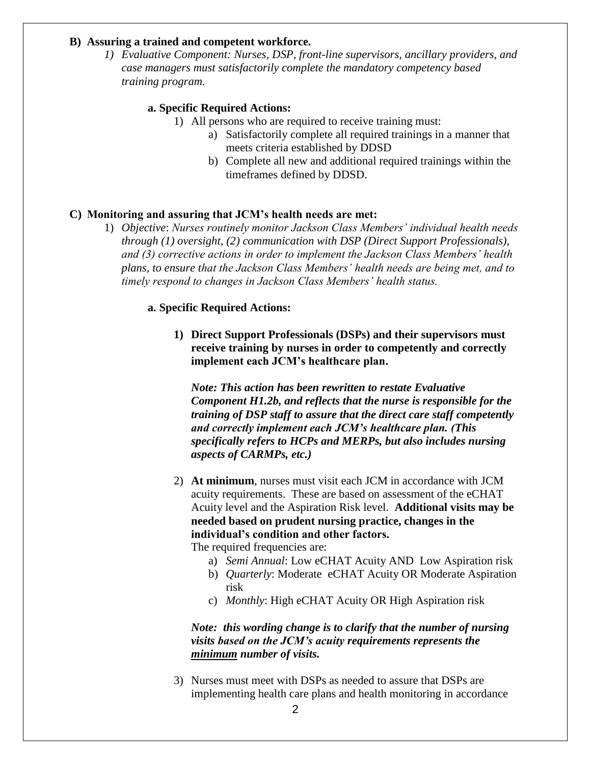## **B) Assuring a trained and competent workforce.**

*1) Evaluative Component: Nurses, DSP, front-line supervisors, ancillary providers, and case managers must satisfactorily complete the mandatory competency based training program.*

## **a. Specific Required Actions:**

1) All persons who are required to receive training must:

- a) Satisfactorily complete all required trainings in a manner that meets criteria established by DDSD
- b) Complete all new and additional required trainings within the timeframes defined by DDSD.

## **C) Monitoring and assuring that JCM's health needs are met:**

1) *Objective*: *Nurses routinely monitor Jackson Class Members' individual health needs through (1) oversight, (2) communication with DSP (Direct Support Professionals), and (3) corrective actions in order to implement the Jackson Class Members' health plans, to ensure that the Jackson Class Members' health needs are being met, and to timely respond to changes in Jackson Class Members' health status.*

## **a. Specific Required Actions:**

**1) Direct Support Professionals (DSPs) and their supervisors must receive training by nurses in order to competently and correctly implement each JCM's healthcare plan.**

*Note: This action has been rewritten to restate Evaluative Component H1.2b, and reflects that the nurse is responsible for the training of DSP staff to assure that the direct care staff competently and correctly implement each JCM's healthcare plan. (This specifically refers to HCPs and MERPs, but also includes nursing aspects of CARMPs, etc.)*

2) **At minimum**, nurses must visit each JCM in accordance with JCM acuity requirements. These are based on assessment of the eCHAT Acuity level and the Aspiration Risk level. **Additional visits may be needed based on prudent nursing practice, changes in the individual's condition and other factors.**

The required frequencies are:

- a) *Semi Annual*: Low eCHAT Acuity AND Low Aspiration risk
- b) *Quarterly*: Moderate eCHAT Acuity OR Moderate Aspiration risk
- c) *Monthly*: High eCHAT Acuity OR High Aspiration risk

# *Note: this wording change is to clarify that the number of nursing visits based on the JCM's acuity requirements represents the minimum number of visits.*

3) Nurses must meet with DSPs as needed to assure that DSPs are implementing health care plans and health monitoring in accordance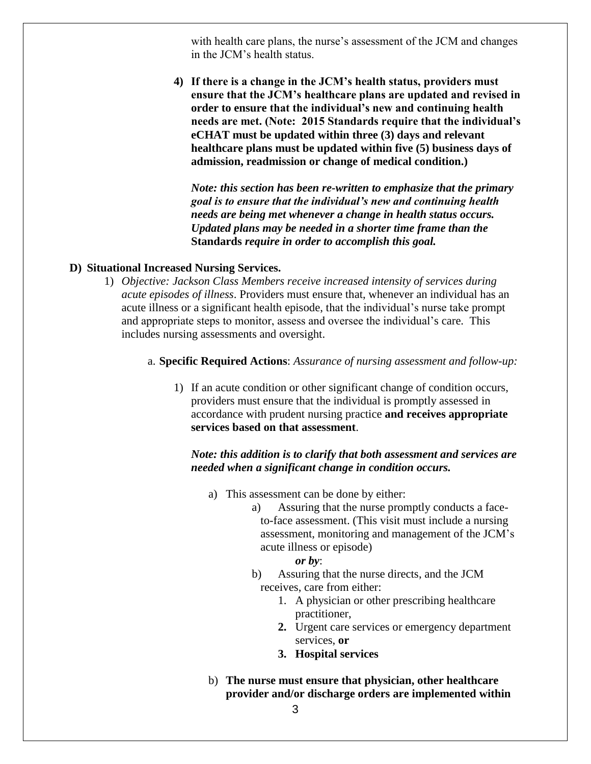with health care plans, the nurse's assessment of the JCM and changes in the JCM's health status.

**4) If there is a change in the JCM's health status, providers must ensure that the JCM's healthcare plans are updated and revised in order to ensure that the individual's new and continuing health needs are met. (Note: 2015 Standards require that the individual's eCHAT must be updated within three (3) days and relevant healthcare plans must be updated within five (5) business days of admission, readmission or change of medical condition.)**

*Note: this section has been re-written to emphasize that the primary goal is to ensure that the individual's new and continuing health needs are being met whenever a change in health status occurs. Updated plans may be needed in a shorter time frame than the*  **Standards** *require in order to accomplish this goal.* 

## **D) Situational Increased Nursing Services.**

- 1) *Objective: Jackson Class Members receive increased intensity of services during acute episodes of illness*. Providers must ensure that, whenever an individual has an acute illness or a significant health episode, that the individual's nurse take prompt and appropriate steps to monitor, assess and oversee the individual's care. This includes nursing assessments and oversight.
	- a. **Specific Required Actions**: *Assurance of nursing assessment and follow-up:*
		- 1) If an acute condition or other significant change of condition occurs, providers must ensure that the individual is promptly assessed in accordance with prudent nursing practice **and receives appropriate services based on that assessment**.

# *Note: this addition is to clarify that both assessment and services are needed when a significant change in condition occurs.*

- a) This assessment can be done by either:
	- a) Assuring that the nurse promptly conducts a faceto-face assessment. (This visit must include a nursing assessment, monitoring and management of the JCM's acute illness or episode)

#### *or by*:

- b) Assuring that the nurse directs, and the JCM receives, care from either:
	- 1. A physician or other prescribing healthcare practitioner,
	- **2.** Urgent care services or emergency department services, **or**
	- **3. Hospital services**
- b) **The nurse must ensure that physician, other healthcare provider and/or discharge orders are implemented within**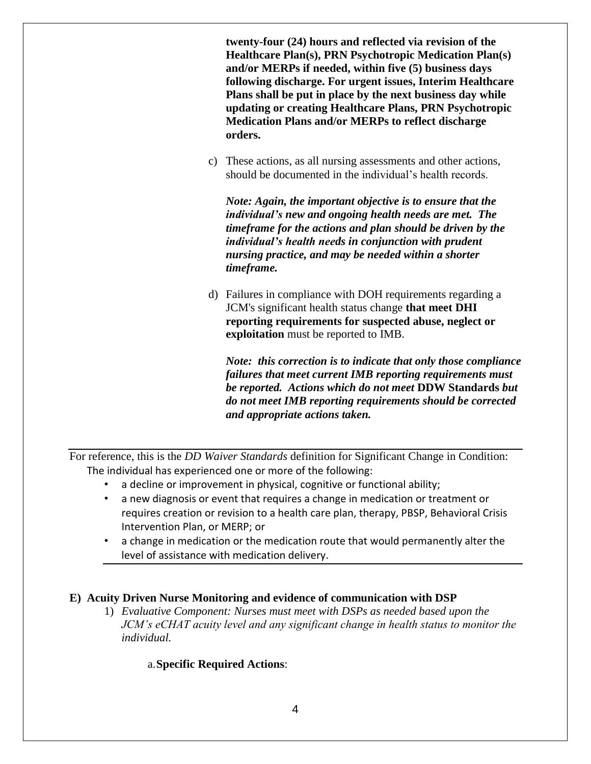**twenty-four (24) hours and reflected via revision of the Healthcare Plan(s), PRN Psychotropic Medication Plan(s) and/or MERPs if needed, within five (5) business days following discharge. For urgent issues, Interim Healthcare Plans shall be put in place by the next business day while updating or creating Healthcare Plans, PRN Psychotropic Medication Plans and/or MERPs to reflect discharge orders.**

c) These actions, as all nursing assessments and other actions, should be documented in the individual's health records.

*Note: Again, the important objective is to ensure that the individual's new and ongoing health needs are met. The timeframe for the actions and plan should be driven by the individual's health needs in conjunction with prudent nursing practice, and may be needed within a shorter timeframe.*

d) Failures in compliance with DOH requirements regarding a JCM's significant health status change **that meet DHI reporting requirements for suspected abuse, neglect or exploitation** must be reported to IMB.

*Note: this correction is to indicate that only those compliance failures that meet current IMB reporting requirements must be reported. Actions which do not meet* **DDW Standards** *but do not meet IMB reporting requirements should be corrected and appropriate actions taken.*

For reference, this is the *DD Waiver Standards* definition for Significant Change in Condition: The individual has experienced one or more of the following:

- a decline or improvement in physical, cognitive or functional ability;
- a new diagnosis or event that requires a change in medication or treatment or requires creation or revision to a health care plan, therapy, PBSP, Behavioral Crisis Intervention Plan, or MERP; or
- a change in medication or the medication route that would permanently alter the level of assistance with medication delivery.

## **E) Acuity Driven Nurse Monitoring and evidence of communication with DSP**

1) *Evaluative Component: Nurses must meet with DSPs as needed based upon the JCM's eCHAT acuity level and any significant change in health status to monitor the individual.*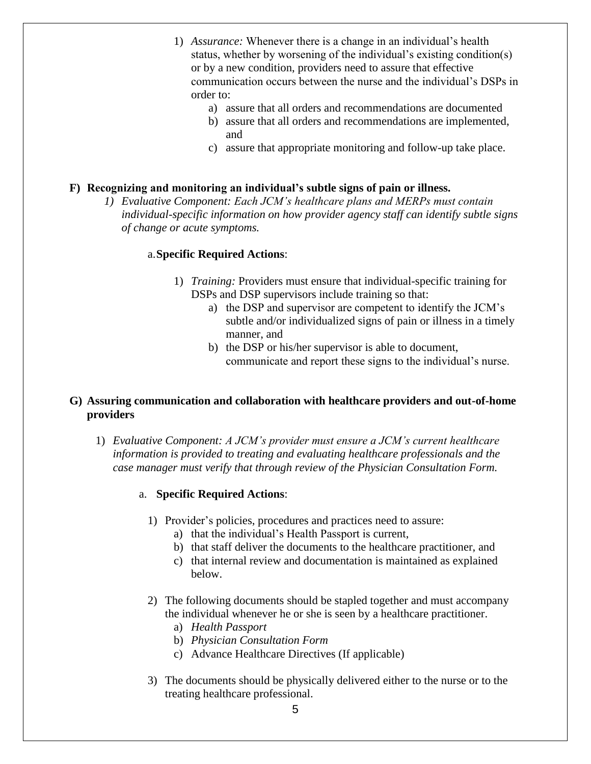- 1) *Assurance:* Whenever there is a change in an individual's health status, whether by worsening of the individual's existing condition(s) or by a new condition, providers need to assure that effective communication occurs between the nurse and the individual's DSPs in order to:
	- a) assure that all orders and recommendations are documented
	- b) assure that all orders and recommendations are implemented, and
	- c) assure that appropriate monitoring and follow-up take place.

## **F) Recognizing and monitoring an individual's subtle signs of pain or illness.**

*1) Evaluative Component: Each JCM's healthcare plans and MERPs must contain individual-specific information on how provider agency staff can identify subtle signs of change or acute symptoms.*

## a.**Specific Required Actions**:

- 1) *Training:* Providers must ensure that individual-specific training for DSPs and DSP supervisors include training so that:
	- a) the DSP and supervisor are competent to identify the JCM's subtle and/or individualized signs of pain or illness in a timely manner, and
	- b) the DSP or his/her supervisor is able to document, communicate and report these signs to the individual's nurse.

## **G) Assuring communication and collaboration with healthcare providers and out-of-home providers**

1) *Evaluative Component: A JCM's provider must ensure a JCM's current healthcare information is provided to treating and evaluating healthcare professionals and the case manager must verify that through review of the Physician Consultation Form.*

- 1) Provider's policies, procedures and practices need to assure:
	- a) that the individual's Health Passport is current,
	- b) that staff deliver the documents to the healthcare practitioner, and
	- c) that internal review and documentation is maintained as explained below.
- 2) The following documents should be stapled together and must accompany the individual whenever he or she is seen by a healthcare practitioner.
	- a) *Health Passport*
	- b) *Physician Consultation Form*
	- c) Advance Healthcare Directives (If applicable)
- 3) The documents should be physically delivered either to the nurse or to the treating healthcare professional.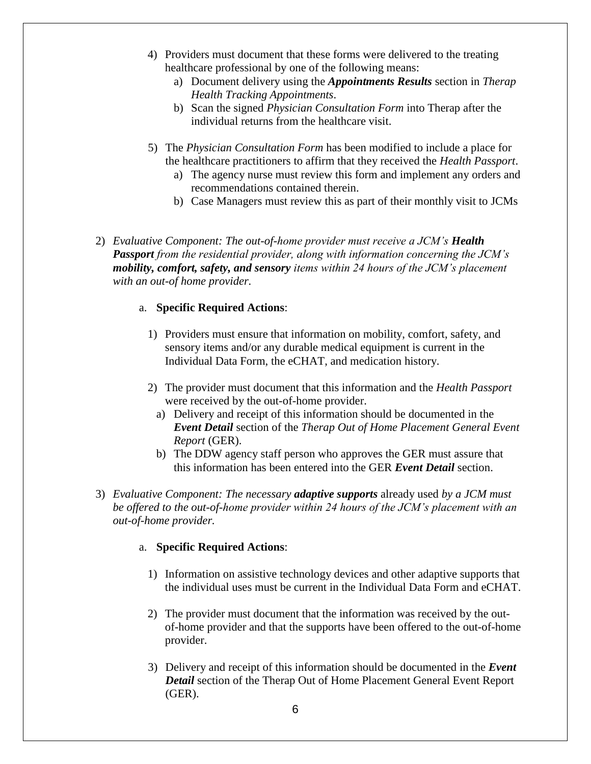- 4) Providers must document that these forms were delivered to the treating healthcare professional by one of the following means:
	- a) Document delivery using the *Appointments Results* section in *Therap Health Tracking Appointments*.
	- b) Scan the signed *Physician Consultation Form* into Therap after the individual returns from the healthcare visit.
- 5) The *Physician Consultation Form* has been modified to include a place for the healthcare practitioners to affirm that they received the *Health Passport*.
	- a) The agency nurse must review this form and implement any orders and recommendations contained therein.
	- b) Case Managers must review this as part of their monthly visit to JCMs
- 2) *Evaluative Component: The out-of-home provider must receive a JCM's Health Passport from the residential provider, along with information concerning the JCM's mobility, comfort, safety, and sensory items within 24 hours of the JCM's placement with an out-of home provider.*

## a. **Specific Required Actions**:

- 1) Providers must ensure that information on mobility, comfort, safety, and sensory items and/or any durable medical equipment is current in the Individual Data Form, the eCHAT, and medication history.
- 2) The provider must document that this information and the *Health Passport* were received by the out-of-home provider.
	- a) Delivery and receipt of this information should be documented in the *Event Detail* section of the *Therap Out of Home Placement General Event Report* (GER).
	- b) The DDW agency staff person who approves the GER must assure that this information has been entered into the GER *Event Detail* section.
- 3) *Evaluative Component: The necessary adaptive supports* already used *by a JCM must be offered to the out-of-home provider within 24 hours of the JCM's placement with an out-of-home provider.*

- 1) Information on assistive technology devices and other adaptive supports that the individual uses must be current in the Individual Data Form and eCHAT.
- 2) The provider must document that the information was received by the outof-home provider and that the supports have been offered to the out-of-home provider.
- 3) Delivery and receipt of this information should be documented in the *Event Detail* section of the Therap Out of Home Placement General Event Report (GER).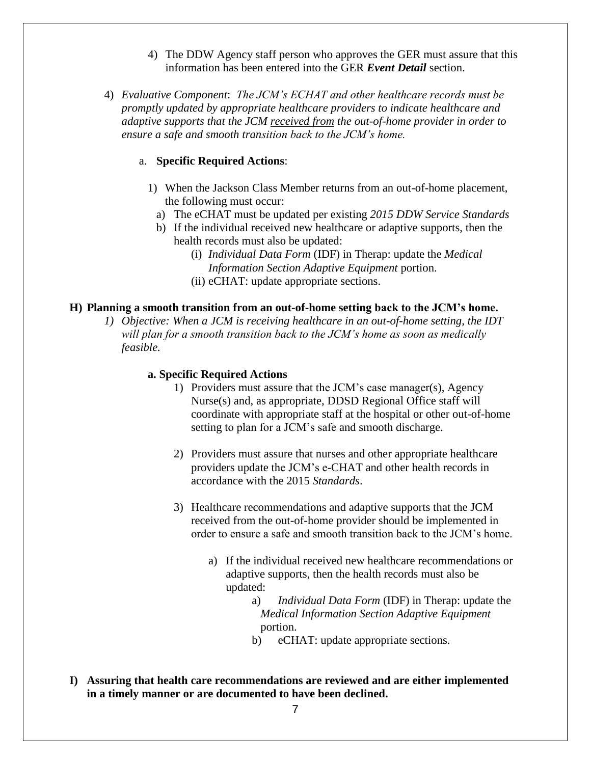- 4) The DDW Agency staff person who approves the GER must assure that this information has been entered into the GER *Event Detail* section.
- 4) *Evaluative Component*: *The JCM's ECHAT and other healthcare records must be promptly updated by appropriate healthcare providers to indicate healthcare and adaptive supports that the JCM received from the out-of-home provider in order to ensure a safe and smooth transition back to the JCM's home.*

## a. **Specific Required Actions**:

- 1) When the Jackson Class Member returns from an out-of-home placement, the following must occur:
	- a) The eCHAT must be updated per existing *2015 DDW Service Standards*
	- b) If the individual received new healthcare or adaptive supports, then the health records must also be updated:
		- (i) *Individual Data Form* (IDF) in Therap: update the *Medical Information Section Adaptive Equipment* portion.
		- (ii) eCHAT: update appropriate sections.

## **H) Planning a smooth transition from an out-of-home setting back to the JCM's home.**

*1) Objective: When a JCM is receiving healthcare in an out-of-home setting, the IDT will plan for a smooth transition back to the JCM's home as soon as medically feasible.*

- 1) Providers must assure that the JCM's case manager(s), Agency Nurse(s) and, as appropriate, DDSD Regional Office staff will coordinate with appropriate staff at the hospital or other out-of-home setting to plan for a JCM's safe and smooth discharge.
- 2) Providers must assure that nurses and other appropriate healthcare providers update the JCM's e-CHAT and other health records in accordance with the 2015 *Standards*.
- 3) Healthcare recommendations and adaptive supports that the JCM received from the out-of-home provider should be implemented in order to ensure a safe and smooth transition back to the JCM's home.
	- a) If the individual received new healthcare recommendations or adaptive supports, then the health records must also be updated:
		- a) *Individual Data Form* (IDF) in Therap: update the *Medical Information Section Adaptive Equipment* portion.
		- b) eCHAT: update appropriate sections.
- **I) Assuring that health care recommendations are reviewed and are either implemented in a timely manner or are documented to have been declined.**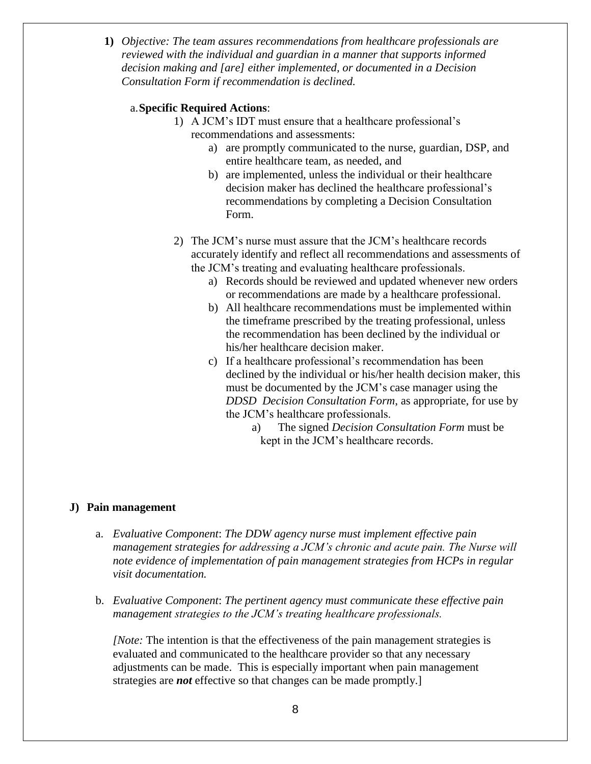**1)** *Objective: The team assures recommendations from healthcare professionals are reviewed with the individual and guardian in a manner that supports informed decision making and [are] either implemented, or documented in a Decision Consultation Form if recommendation is declined.*

# a.**Specific Required Actions**:

- 1) A JCM's IDT must ensure that a healthcare professional's recommendations and assessments:
	- a) are promptly communicated to the nurse, guardian, DSP, and entire healthcare team, as needed, and
	- b) are implemented, unless the individual or their healthcare decision maker has declined the healthcare professional's recommendations by completing a Decision Consultation Form.
- 2) The JCM's nurse must assure that the JCM's healthcare records accurately identify and reflect all recommendations and assessments of the JCM's treating and evaluating healthcare professionals.
	- a) Records should be reviewed and updated whenever new orders or recommendations are made by a healthcare professional.
	- b) All healthcare recommendations must be implemented within the timeframe prescribed by the treating professional, unless the recommendation has been declined by the individual or his/her healthcare decision maker.
	- c) If a healthcare professional's recommendation has been declined by the individual or his/her health decision maker, this must be documented by the JCM's case manager using the *DDSD Decision Consultation Form*, as appropriate, for use by the JCM's healthcare professionals.
		- a) The signed *Decision Consultation Form* must be kept in the JCM's healthcare records.

## **J) Pain management**

- a. *Evaluative Component*: *The DDW agency nurse must implement effective pain management strategies for addressing a JCM's chronic and acute pain. The Nurse will note evidence of implementation of pain management strategies from HCPs in regular visit documentation.*
- b. *Evaluative Component*: *The pertinent agency must communicate these effective pain management strategies to the JCM's treating healthcare professionals.*

*[Note:* The intention is that the effectiveness of the pain management strategies is evaluated and communicated to the healthcare provider so that any necessary adjustments can be made. This is especially important when pain management strategies are *not* effective so that changes can be made promptly.]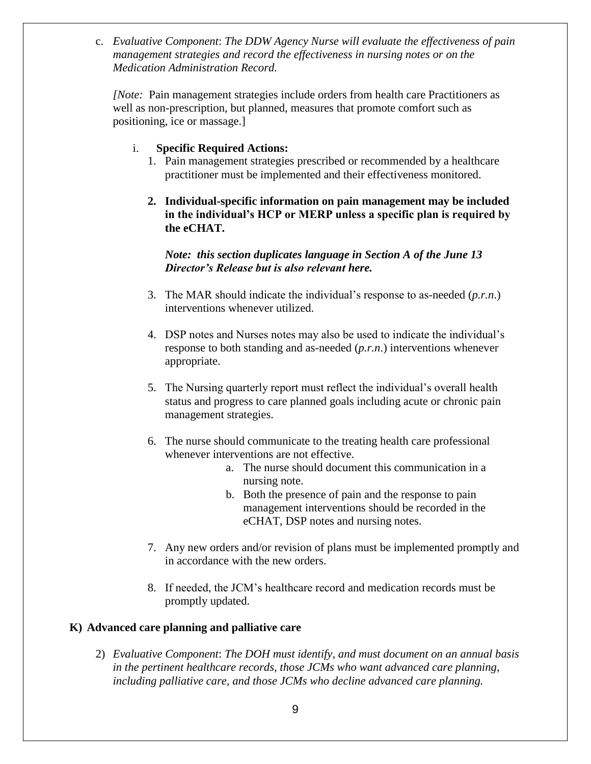c. *Evaluative Component*: *The DDW Agency Nurse will evaluate the effectiveness of pain management strategies and record the effectiveness in nursing notes or on the Medication Administration Record.*

*[Note:* Pain management strategies include orders from health care Practitioners as well as non-prescription, but planned, measures that promote comfort such as positioning, ice or massage.]

# i. **Specific Required Actions:**

- 1. Pain management strategies prescribed or recommended by a healthcare practitioner must be implemented and their effectiveness monitored.
- **2. Individual-specific information on pain management may be included in the individual's HCP or MERP unless a specific plan is required by the eCHAT.**

*Note: this section duplicates language in Section A of the June 13 Director's Release but is also relevant here.*

- 3. The MAR should indicate the individual's response to as-needed (*p.r.n*.) interventions whenever utilized.
- 4. DSP notes and Nurses notes may also be used to indicate the individual's response to both standing and as-needed (*p.r.n*.) interventions whenever appropriate.
- 5. The Nursing quarterly report must reflect the individual's overall health status and progress to care planned goals including acute or chronic pain management strategies.
- 6. The nurse should communicate to the treating health care professional whenever interventions are not effective.
	- a. The nurse should document this communication in a nursing note.
	- b. Both the presence of pain and the response to pain management interventions should be recorded in the eCHAT, DSP notes and nursing notes.
- 7. Any new orders and/or revision of plans must be implemented promptly and in accordance with the new orders.
- 8. If needed, the JCM's healthcare record and medication records must be promptly updated.

# **K) Advanced care planning and palliative care**

2) *Evaluative Component*: *The DOH must identify, and must document on an annual basis in the pertinent healthcare records, those JCMs who want advanced care planning, including palliative care, and those JCMs who decline advanced care planning.*